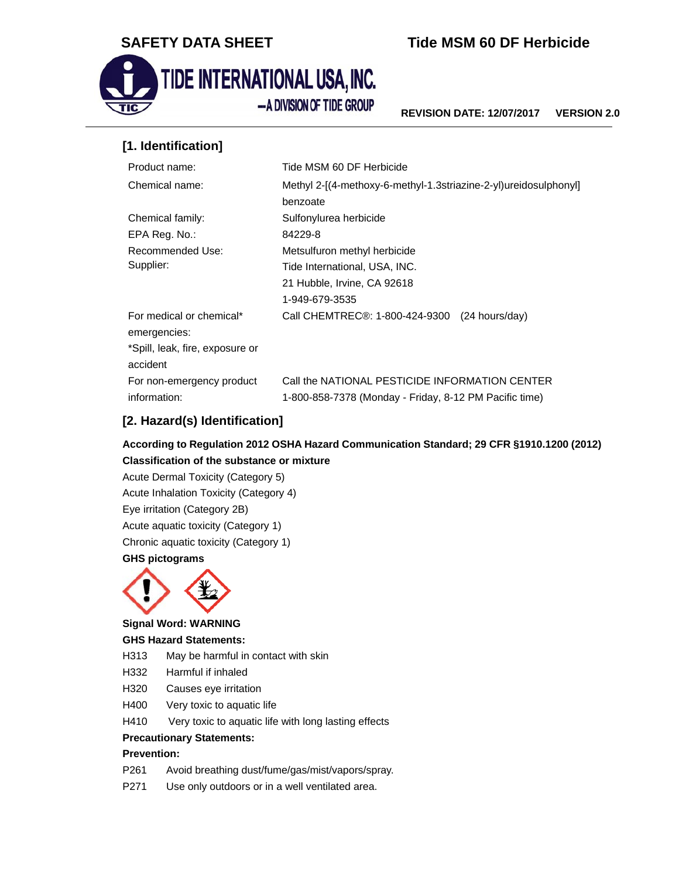

# **SAFETY DATA SHEET THE TIME TIME MSM 60 DF Herbicide**



**REVISION DATE: 12/07/2017 VERSION 2.0** 

## **[1. Identification]**

| Tide MSM 60 DF Herbicide                                                    |  |
|-----------------------------------------------------------------------------|--|
| Methyl 2-[(4-methoxy-6-methyl-1.3striazine-2-yl)ureidosulphonyl]            |  |
| benzoate                                                                    |  |
| Sulfonylurea herbicide                                                      |  |
| 84229-8                                                                     |  |
| Metsulfuron methyl herbicide                                                |  |
| Tide International, USA, INC.                                               |  |
| 21 Hubble, Irvine, CA 92618                                                 |  |
| 1-949-679-3535                                                              |  |
| Call CHEMTREC®: 1-800-424-9300<br>$(24$ hours/day)                          |  |
|                                                                             |  |
|                                                                             |  |
|                                                                             |  |
| Call the NATIONAL PESTICIDE INFORMATION CENTER<br>For non-emergency product |  |
| 1-800-858-7378 (Monday - Friday, 8-12 PM Pacific time)                      |  |
|                                                                             |  |

## **[2. Hazard(s) Identification]**

## **According to Regulation 2012 OSHA Hazard Communication Standard; 29 CFR §1910.1200 (2012) Classification of the substance or mixture**

Acute Dermal Toxicity (Category 5) Acute Inhalation Toxicity (Category 4) Eye irritation (Category 2B) Acute aquatic toxicity (Category 1) Chronic aquatic toxicity (Category 1) **GHS pictograms** 



## **Signal Word: WARNING**

### **GHS Hazard Statements:**

- H313 May be harmful in contact with skin
- H332 Harmful if inhaled
- H320 Causes eye irritation
- H400 Very toxic to aquatic life
- H410 Very toxic to aquatic life with long lasting effects

### **Precautionary Statements:**

### **Prevention:**

- P261 Avoid breathing dust/fume/gas/mist/vapors/spray.
- P271 Use only outdoors or in a well ventilated area.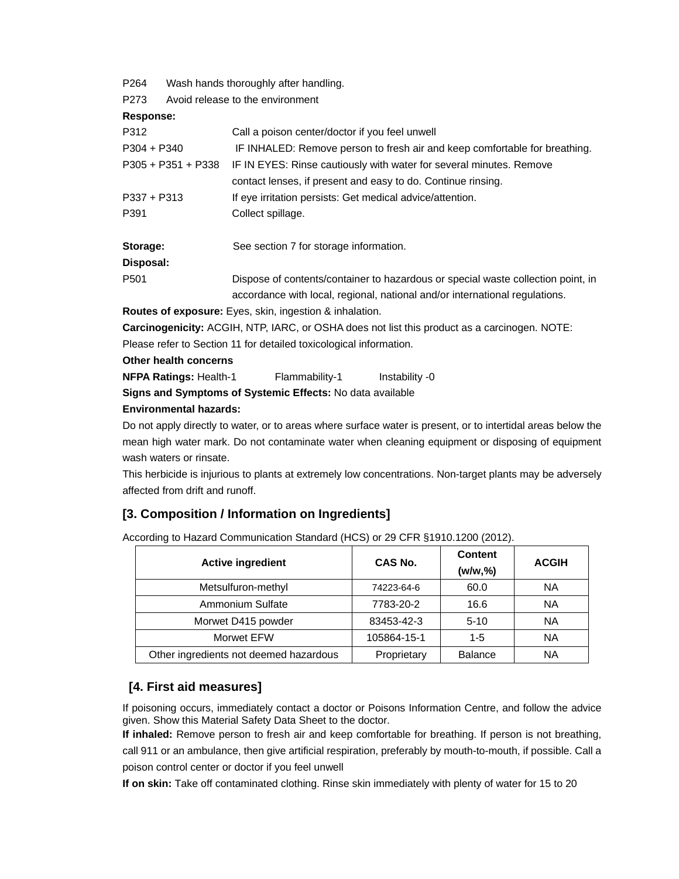| P264                 | Wash hands thoroughly after handling. |                                                                                  |  |  |  |
|----------------------|---------------------------------------|----------------------------------------------------------------------------------|--|--|--|
| P273                 | Avoid release to the environment      |                                                                                  |  |  |  |
| Response:            |                                       |                                                                                  |  |  |  |
| P312                 |                                       | Call a poison center/doctor if you feel unwell                                   |  |  |  |
| $P304 + P340$        |                                       | IF INHALED: Remove person to fresh air and keep comfortable for breathing.       |  |  |  |
| $P305 + P351 + P338$ |                                       | IF IN EYES: Rinse cautiously with water for several minutes. Remove              |  |  |  |
|                      |                                       | contact lenses, if present and easy to do. Continue rinsing.                     |  |  |  |
| $P337 + P313$        |                                       | If eye irritation persists: Get medical advice/attention.                        |  |  |  |
| P391                 |                                       | Collect spillage.                                                                |  |  |  |
| Storage:             |                                       | See section 7 for storage information.                                           |  |  |  |
| Disposal:            |                                       |                                                                                  |  |  |  |
| P <sub>501</sub>     |                                       | Dispose of contents/container to hazardous or special waste collection point, in |  |  |  |
|                      |                                       | accordance with local, regional, national and/or international regulations.      |  |  |  |
|                      |                                       | <b>Routes of exposure:</b> Eyes, skin, ingestion & inhalation.                   |  |  |  |

**Carcinogenicity:** ACGIH, NTP, IARC, or OSHA does not list this product as a carcinogen. NOTE:

Please refer to Section 11 for detailed toxicological information.

**Other health concerns** 

**NFPA Ratings:** Health-1 Flammability-1 Instability -0

**Signs and Symptoms of Systemic Effects:** No data available

### **Environmental hazards:**

Do not apply directly to water, or to areas where surface water is present, or to intertidal areas below the mean high water mark. Do not contaminate water when cleaning equipment or disposing of equipment wash waters or rinsate.

This herbicide is injurious to plants at extremely low concentrations. Non-target plants may be adversely affected from drift and runoff.

## **[3. Composition / Information on Ingredients]**

According to Hazard Communication Standard (HCS) or 29 CFR §1910.1200 (2012).

| <b>Active ingredient</b>               | CAS No.     | <b>Content</b><br>(w/w, %) | <b>ACGIH</b> |
|----------------------------------------|-------------|----------------------------|--------------|
| Metsulfuron-methyl                     | 74223-64-6  | 60.0                       | ΝA           |
| Ammonium Sulfate                       | 7783-20-2   | 16.6                       | ΝA           |
| Morwet D415 powder                     | 83453-42-3  | $5 - 10$                   | ΝA           |
| Morwet EFW                             | 105864-15-1 | $1-5$                      | <b>NA</b>    |
| Other ingredients not deemed hazardous | Proprietary | <b>Balance</b>             | <b>NA</b>    |

## **[4. First aid measures]**

If poisoning occurs, immediately contact a doctor or Poisons Information Centre, and follow the advice given. Show this Material Safety Data Sheet to the doctor.

**If inhaled:** Remove person to fresh air and keep comfortable for breathing. If person is not breathing, call 911 or an ambulance, then give artificial respiration, preferably by mouth-to-mouth, if possible. Call a poison control center or doctor if you feel unwell

**If on skin:** Take off contaminated clothing. Rinse skin immediately with plenty of water for 15 to 20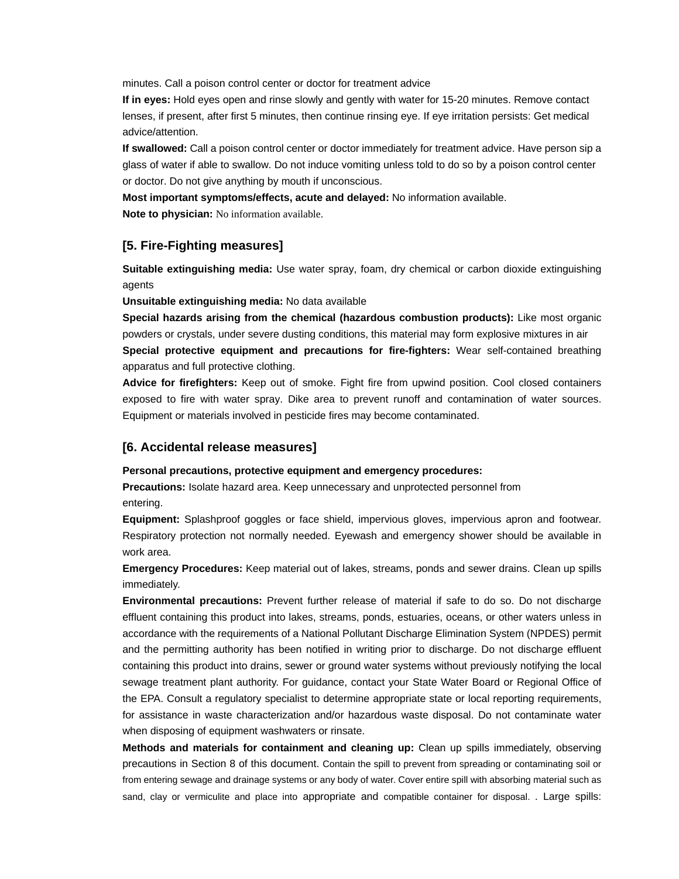minutes. Call a poison control center or doctor for treatment advice

**If in eyes:** Hold eyes open and rinse slowly and gently with water for 15-20 minutes. Remove contact lenses, if present, after first 5 minutes, then continue rinsing eye. If eye irritation persists: Get medical advice/attention.

**If swallowed:** Call a poison control center or doctor immediately for treatment advice. Have person sip a glass of water if able to swallow. Do not induce vomiting unless told to do so by a poison control center or doctor. Do not give anything by mouth if unconscious.

**Most important symptoms/effects, acute and delayed:** No information available.

**Note to physician:** No information available.

## **[5. Fire-Fighting measures]**

**Suitable extinguishing media:** Use water spray, foam, dry chemical or carbon dioxide extinguishing agents

**Unsuitable extinguishing media:** No data available

**Special hazards arising from the chemical (hazardous combustion products):** Like most organic powders or crystals, under severe dusting conditions, this material may form explosive mixtures in air **Special protective equipment and precautions for fire-fighters:** Wear self-contained breathing apparatus and full protective clothing.

**Advice for firefighters:** Keep out of smoke. Fight fire from upwind position. Cool closed containers exposed to fire with water spray. Dike area to prevent runoff and contamination of water sources. Equipment or materials involved in pesticide fires may become contaminated.

### **[6. Accidental release measures]**

#### **Personal precautions, protective equipment and emergency procedures:**

**Precautions:** Isolate hazard area. Keep unnecessary and unprotected personnel from entering.

**Equipment:** Splashproof goggles or face shield, impervious gloves, impervious apron and footwear. Respiratory protection not normally needed. Eyewash and emergency shower should be available in work area.

**Emergency Procedures:** Keep material out of lakes, streams, ponds and sewer drains. Clean up spills immediately.

**Environmental precautions:** Prevent further release of material if safe to do so. Do not discharge effluent containing this product into lakes, streams, ponds, estuaries, oceans, or other waters unless in accordance with the requirements of a National Pollutant Discharge Elimination System (NPDES) permit and the permitting authority has been notified in writing prior to discharge. Do not discharge effluent containing this product into drains, sewer or ground water systems without previously notifying the local sewage treatment plant authority. For guidance, contact your State Water Board or Regional Office of the EPA. Consult a regulatory specialist to determine appropriate state or local reporting requirements, for assistance in waste characterization and/or hazardous waste disposal. Do not contaminate water when disposing of equipment washwaters or rinsate.

**Methods and materials for containment and cleaning up:** Clean up spills immediately, observing precautions in Section 8 of this document. Contain the spill to prevent from spreading or contaminating soil or from entering sewage and drainage systems or any body of water. Cover entire spill with absorbing material such as sand, clay or vermiculite and place into appropriate and compatible container for disposal. . Large spills: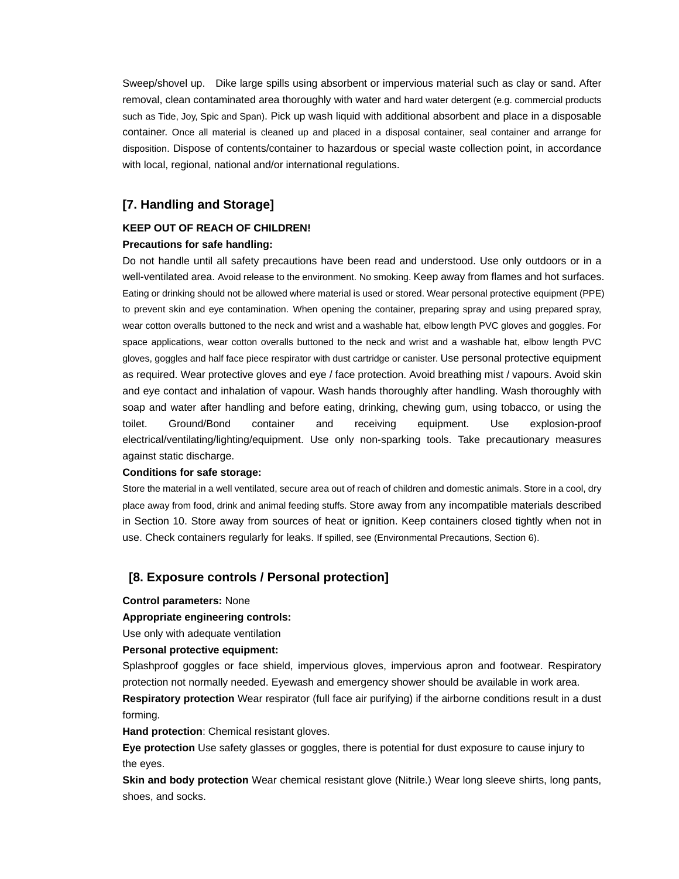Sweep/shovel up. Dike large spills using absorbent or impervious material such as clay or sand. After removal, clean contaminated area thoroughly with water and hard water detergent (e.g. commercial products such as Tide, Joy, Spic and Span). Pick up wash liquid with additional absorbent and place in a disposable container. Once all material is cleaned up and placed in a disposal container, seal container and arrange for disposition. Dispose of contents/container to hazardous or special waste collection point, in accordance with local, regional, national and/or international regulations.

## **[7. Handling and Storage]**

### **KEEP OUT OF REACH OF CHILDREN!**

### **Precautions for safe handling:**

Do not handle until all safety precautions have been read and understood. Use only outdoors or in a well-ventilated area. Avoid release to the environment. No smoking. Keep away from flames and hot surfaces. Eating or drinking should not be allowed where material is used or stored. Wear personal protective equipment (PPE) to prevent skin and eye contamination. When opening the container, preparing spray and using prepared spray, wear cotton overalls buttoned to the neck and wrist and a washable hat, elbow length PVC gloves and goggles. For space applications, wear cotton overalls buttoned to the neck and wrist and a washable hat, elbow length PVC gloves, goggles and half face piece respirator with dust cartridge or canister. Use personal protective equipment as required. Wear protective gloves and eye / face protection. Avoid breathing mist / vapours. Avoid skin and eye contact and inhalation of vapour. Wash hands thoroughly after handling. Wash thoroughly with soap and water after handling and before eating, drinking, chewing gum, using tobacco, or using the toilet. Ground/Bond container and receiving equipment. Use explosion-proof electrical/ventilating/lighting/equipment. Use only non-sparking tools. Take precautionary measures against static discharge.

#### **Conditions for safe storage:**

Store the material in a well ventilated, secure area out of reach of children and domestic animals. Store in a cool, dry place away from food, drink and animal feeding stuffs. Store away from any incompatible materials described in Section 10. Store away from sources of heat or ignition. Keep containers closed tightly when not in use. Check containers regularly for leaks. If spilled, see (Environmental Precautions, Section 6).

### **[8. Exposure controls / Personal protection]**

#### **Control parameters:** None

#### **Appropriate engineering controls:**

Use only with adequate ventilation

#### **Personal protective equipment:**

Splashproof goggles or face shield, impervious gloves, impervious apron and footwear. Respiratory protection not normally needed. Eyewash and emergency shower should be available in work area. **Respiratory protection** Wear respirator (full face air purifying) if the airborne conditions result in a dust forming.

**Hand protection**: Chemical resistant gloves.

**Eye protection** Use safety glasses or goggles, there is potential for dust exposure to cause injury to the eyes.

**Skin and body protection** Wear chemical resistant glove (Nitrile.) Wear long sleeve shirts, long pants, shoes, and socks.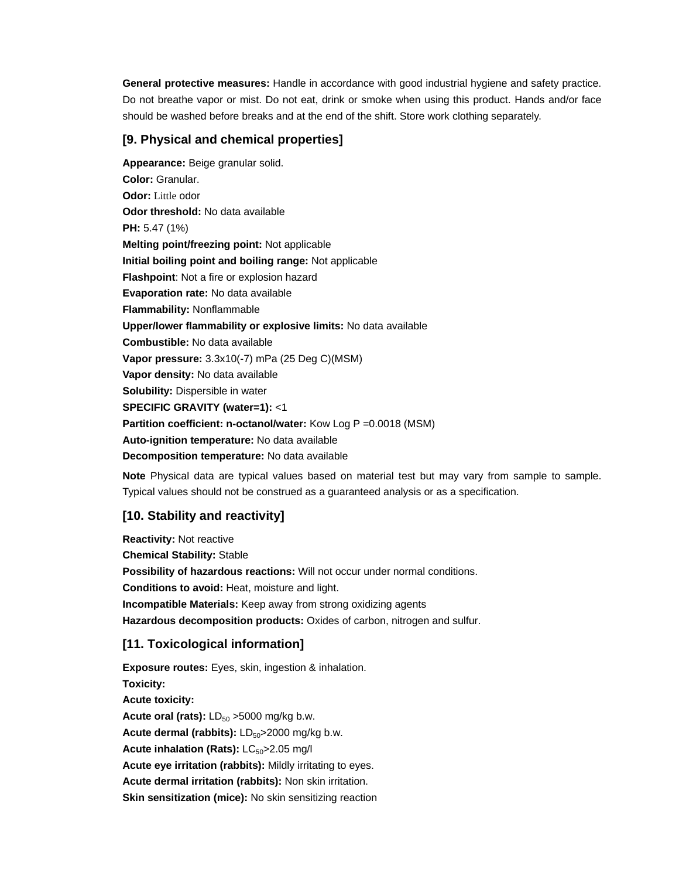**General protective measures:** Handle in accordance with good industrial hygiene and safety practice. Do not breathe vapor or mist. Do not eat, drink or smoke when using this product. Hands and/or face should be washed before breaks and at the end of the shift. Store work clothing separately.

## **[9. Physical and chemical properties]**

**Appearance:** Beige granular solid. **Color:** Granular. **Odor:** Little odor **Odor threshold:** No data available **PH:** 5.47 (1%) **Melting point/freezing point:** Not applicable **Initial boiling point and boiling range:** Not applicable **Flashpoint**: Not a fire or explosion hazard **Evaporation rate:** No data available **Flammability:** Nonflammable **Upper/lower flammability or explosive limits:** No data available **Combustible:** No data available **Vapor pressure:** 3.3x10(-7) mPa (25 Deg C)(MSM) **Vapor density:** No data available **Solubility:** Dispersible in water **SPECIFIC GRAVITY (water=1):** <1 **Partition coefficient: n-octanol/water:** Kow Log P = 0.0018 (MSM) **Auto-ignition temperature:** No data available **Decomposition temperature:** No data available

**Note** Physical data are typical values based on material test but may vary from sample to sample. Typical values should not be construed as a guaranteed analysis or as a specification.

## **[10. Stability and reactivity]**

**Reactivity:** Not reactive **Chemical Stability:** Stable **Possibility of hazardous reactions:** Will not occur under normal conditions. **Conditions to avoid:** Heat, moisture and light. **Incompatible Materials:** Keep away from strong oxidizing agents **Hazardous decomposition products:** Oxides of carbon, nitrogen and sulfur.

## **[11. Toxicological information]**

**Exposure routes:** Eyes, skin, ingestion & inhalation. **Toxicity: Acute toxicity: Acute oral (rats):**  $LD_{50} > 5000$  mg/kg b.w. Acute dermal (rabbits): LD<sub>50</sub>>2000 mg/kg b.w. **Acute inhalation (Rats): LC<sub>50</sub>>2.05 mg/l Acute eye irritation (rabbits):** Mildly irritating to eyes. **Acute dermal irritation (rabbits):** Non skin irritation. **Skin sensitization (mice):** No skin sensitizing reaction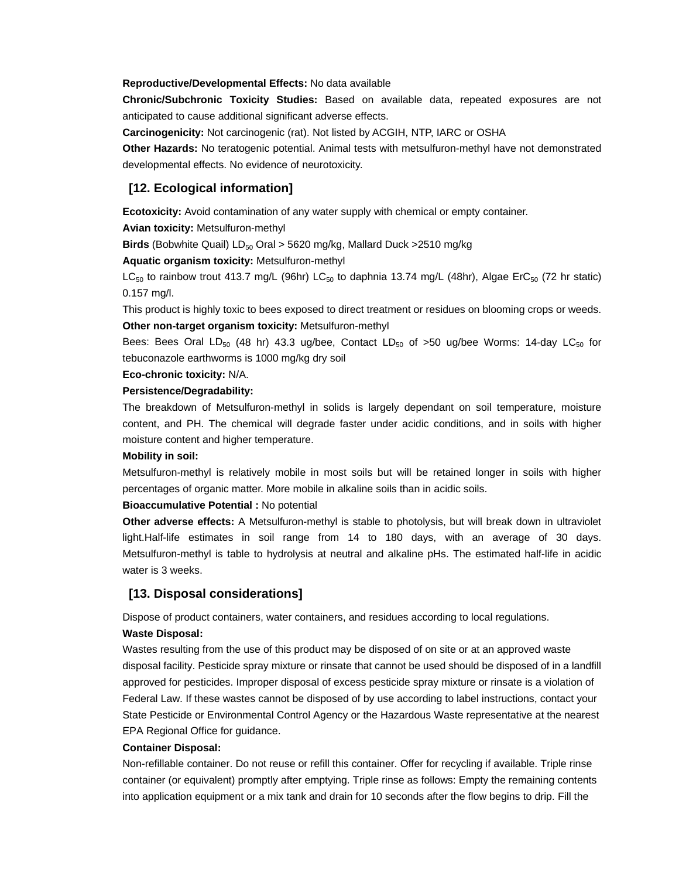#### **Reproductive/Developmental Effects:** No data available

**Chronic/Subchronic Toxicity Studies:** Based on available data, repeated exposures are not anticipated to cause additional significant adverse effects.

**Carcinogenicity:** Not carcinogenic (rat). Not listed by ACGIH, NTP, IARC or OSHA

**Other Hazards:** No teratogenic potential. Animal tests with metsulfuron-methyl have not demonstrated developmental effects. No evidence of neurotoxicity.

### **[12. Ecological information]**

**Ecotoxicity:** Avoid contamination of any water supply with chemical or empty container.

#### **Avian toxicity:** Metsulfuron-methyl

**Birds** (Bobwhite Quail) LD<sub>50</sub> Oral > 5620 mg/kg, Mallard Duck >2510 mg/kg

### **Aquatic organism toxicity:** Metsulfuron-methyl

 $LC_{50}$  to rainbow trout 413.7 mg/L (96hr) LC<sub>50</sub> to daphnia 13.74 mg/L (48hr), Algae ErC<sub>50</sub> (72 hr static) 0.157 mg/l.

This product is highly toxic to bees exposed to direct treatment or residues on blooming crops or weeds. **Other non-target organism toxicity:** Metsulfuron-methyl

Bees: Bees Oral LD<sub>50</sub> (48 hr) 43.3 ug/bee, Contact LD<sub>50</sub> of >50 ug/bee Worms: 14-day LC<sub>50</sub> for tebuconazole earthworms is 1000 mg/kg dry soil

#### **Eco-chronic toxicity:** N/A.

#### **Persistence/Degradability:**

The breakdown of Metsulfuron-methyl in solids is largely dependant on soil temperature, moisture content, and PH. The chemical will degrade faster under acidic conditions, and in soils with higher moisture content and higher temperature.

#### **Mobility in soil:**

Metsulfuron-methyl is relatively mobile in most soils but will be retained longer in soils with higher percentages of organic matter. More mobile in alkaline soils than in acidic soils.

#### **Bioaccumulative Potential :** No potential

**Other adverse effects:** A Metsulfuron-methyl is stable to photolysis, but will break down in ultraviolet light.Half-life estimates in soil range from 14 to 180 days, with an average of 30 days. Metsulfuron-methyl is table to hydrolysis at neutral and alkaline pHs. The estimated half-life in acidic water is 3 weeks.

### **[13. Disposal considerations]**

Dispose of product containers, water containers, and residues according to local regulations.

### **Waste Disposal:**

Wastes resulting from the use of this product may be disposed of on site or at an approved waste disposal facility. Pesticide spray mixture or rinsate that cannot be used should be disposed of in a landfill approved for pesticides. Improper disposal of excess pesticide spray mixture or rinsate is a violation of Federal Law. If these wastes cannot be disposed of by use according to label instructions, contact your State Pesticide or Environmental Control Agency or the Hazardous Waste representative at the nearest EPA Regional Office for guidance.

#### **Container Disposal:**

Non-refillable container. Do not reuse or refill this container. Offer for recycling if available. Triple rinse container (or equivalent) promptly after emptying. Triple rinse as follows: Empty the remaining contents into application equipment or a mix tank and drain for 10 seconds after the flow begins to drip. Fill the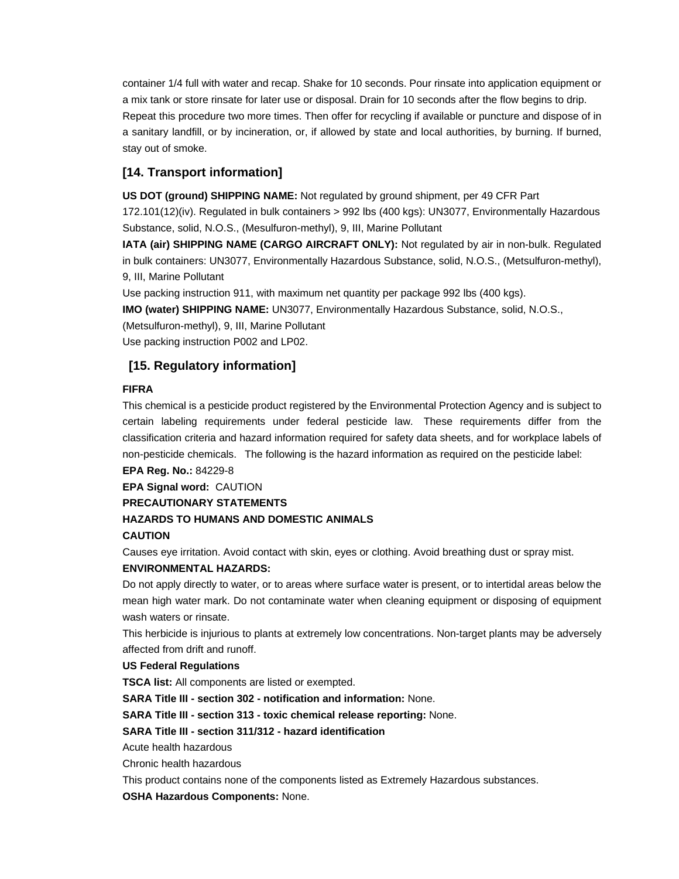container 1/4 full with water and recap. Shake for 10 seconds. Pour rinsate into application equipment or a mix tank or store rinsate for later use or disposal. Drain for 10 seconds after the flow begins to drip. Repeat this procedure two more times. Then offer for recycling if available or puncture and dispose of in a sanitary landfill, or by incineration, or, if allowed by state and local authorities, by burning. If burned, stay out of smoke.

## **[14. Transport information]**

**US DOT (ground) SHIPPING NAME:** Not regulated by ground shipment, per 49 CFR Part

172.101(12)(iv). Regulated in bulk containers > 992 lbs (400 kgs): UN3077, Environmentally Hazardous Substance, solid, N.O.S., (Mesulfuron-methyl), 9, III, Marine Pollutant

**IATA (air) SHIPPING NAME (CARGO AIRCRAFT ONLY):** Not regulated by air in non-bulk. Regulated in bulk containers: UN3077, Environmentally Hazardous Substance, solid, N.O.S., (Metsulfuron-methyl), 9, III, Marine Pollutant

Use packing instruction 911, with maximum net quantity per package 992 lbs (400 kgs).

**IMO (water) SHIPPING NAME:** UN3077, Environmentally Hazardous Substance, solid, N.O.S.,

(Metsulfuron-methyl), 9, III, Marine Pollutant

Use packing instruction P002 and LP02.

### **[15. Regulatory information]**

### **FIFRA**

This chemical is a pesticide product registered by the Environmental Protection Agency and is subject to certain labeling requirements under federal pesticide law. These requirements differ from the classification criteria and hazard information required for safety data sheets, and for workplace labels of non-pesticide chemicals. The following is the hazard information as required on the pesticide label:

**EPA Reg. No.:** 84229-8

**EPA Signal word:** CAUTION

#### **PRECAUTIONARY STATEMENTS**

### **HAZARDS TO HUMANS AND DOMESTIC ANIMALS**

#### **CAUTION**

Causes eye irritation. Avoid contact with skin, eyes or clothing. Avoid breathing dust or spray mist.

### **ENVIRONMENTAL HAZARDS:**

Do not apply directly to water, or to areas where surface water is present, or to intertidal areas below the mean high water mark. Do not contaminate water when cleaning equipment or disposing of equipment wash waters or rinsate.

This herbicide is injurious to plants at extremely low concentrations. Non-target plants may be adversely affected from drift and runoff.

### **US Federal Regulations**

**TSCA list:** All components are listed or exempted.

**SARA Title III - section 302 - notification and information:** None.

**SARA Title III - section 313 - toxic chemical release reporting:** None.

### **SARA Title III - section 311/312 - hazard identification**

Acute health hazardous

Chronic health hazardous

This product contains none of the components listed as Extremely Hazardous substances.

**OSHA Hazardous Components:** None.